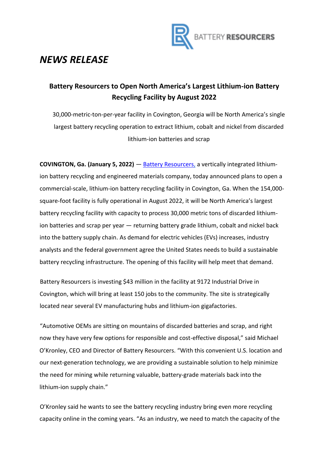

## *NEWS RELEASE*

## **Battery Resourcers to Open North America's Largest Lithium-ion Battery Recycling Facility by August 2022**

30,000-metric-ton-per-year facility in Covington, Georgia will be North America's single largest battery recycling operation to extract lithium, cobalt and nickel from discarded lithium-ion batteries and scrap

**COVINGTON, Ga. (January 5, 2022)** — [Battery Resourcers,](https://www.batteryresourcers.com/) a vertically integrated lithiumion battery recycling and engineered materials company, today announced plans to open a commercial-scale, lithium-ion battery recycling facility in Covington, Ga. When the 154,000 square-foot facility is fully operational in August 2022, it will be North America's largest battery recycling facility with capacity to process 30,000 metric tons of discarded lithiumion batteries and scrap per year — returning battery grade lithium, cobalt and nickel back into the battery supply chain. As demand for electric vehicles (EVs) increases, industry analysts and the federal government agree the United States needs to build a sustainable battery recycling infrastructure. The opening of this facility will help meet that demand.

Battery Resourcers is investing \$43 million in the facility at 9172 Industrial Drive in Covington, which will bring at least 150 jobs to the community. The site is strategically located near several EV manufacturing hubs and lithium-ion gigafactories.

"Automotive OEMs are sitting on mountains of discarded batteries and scrap, and right now they have very few options for responsible and cost-effective disposal," said Michael O'Kronley, CEO and Director of Battery Resourcers. "With this convenient U.S. location and our next-generation technology, we are providing a sustainable solution to help minimize the need for mining while returning valuable, battery-grade materials back into the lithium-ion supply chain."

O'Kronley said he wants to see the battery recycling industry bring even more recycling capacity online in the coming years. "As an industry, we need to match the capacity of the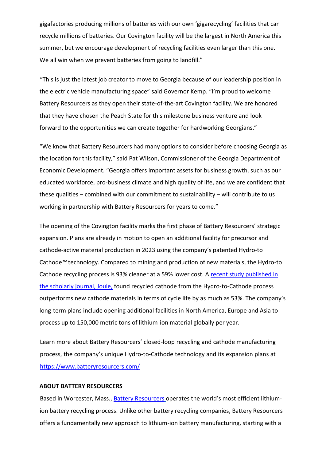gigafactories producing millions of batteries with our own 'gigarecycling' facilities that can recycle millions of batteries. Our Covington facility will be the largest in North America this summer, but we encourage development of recycling facilities even larger than this one. We all win when we prevent batteries from going to landfill."

"This is just the latest job creator to move to Georgia because of our leadership position in the electric vehicle manufacturing space" said Governor Kemp. "I'm proud to welcome Battery Resourcers as they open their state-of-the-art Covington facility. We are honored that they have chosen the Peach State for this milestone business venture and look forward to the opportunities we can create together for hardworking Georgians."

"We know that Battery Resourcers had many options to consider before choosing Georgia as the location for this facility," said Pat Wilson, Commissioner of the Georgia Department of Economic Development. "Georgia offers important assets for business growth, such as our educated workforce, pro-business climate and high quality of life, and we are confident that these qualities – combined with our commitment to sustainability – will contribute to us working in partnership with Battery Resourcers for years to come."

The opening of the Covington facility marks the first phase of Battery Resourcers' strategic expansion. Plans are already in motion to open an additional facility for precursor and cathode-active material production in 2023 using the company's patented Hydro-to Cathode*™* technology. Compared to mining and production of new materials, the Hydro-to Cathode recycling process is 93% cleaner at a 59% lower cost. A recent study published in [the scholarly journal, Joule,](https://doi.org/10.1016/j.joule.2021.09.005) found recycled cathode from the Hydro-to-Cathode process outperforms new cathode materials in terms of cycle life by as much as 53%. The company's long-term plans include opening additional facilities in North America, Europe and Asia to process up to 150,000 metric tons of lithium-ion material globally per year.

Learn more about Battery Resourcers' closed-loop recycling and cathode manufacturing process, the company's unique Hydro-to-Cathode technology and its expansion plans at <https://www.batteryresourcers.com/>

## **ABOUT BATTERY RESOURCERS**

Based in Worcester, Mass., [Battery Resourcers](https://www.batteryresourcers.com/) operates the world's most efficient lithiumion battery recycling process. Unlike other battery recycling companies, Battery Resourcers offers a fundamentally new approach to lithium-ion battery manufacturing, starting with a